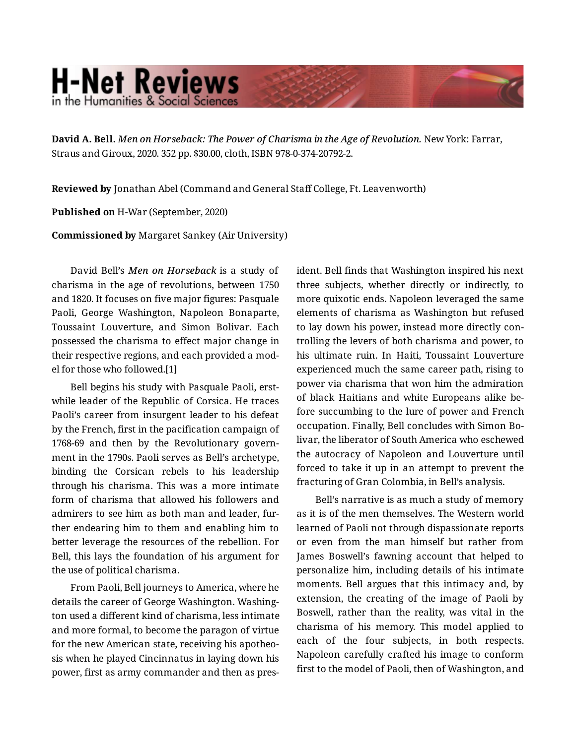## **H-Net Reviews** in the Humanities & Social Science

**David A. Bell.** *Men on Horseback: The Power of Charisma in the Age of Revolution.* New York: Farrar, Straus and Giroux, 2020. 352 pp. \$30.00, cloth, ISBN 978-0-374-20792-2.

**Reviewed by** Jonathan Abel (Command and General Staff College, Ft. Leavenworth)

**Published on** H-War (September, 2020)

**Commissioned by** Margaret Sankey (Air University)

David Bell's *Men on Horseback* is a study of charisma in the age of revolutions, between 1750 and 1820. It focuses on five major figures: Pasquale Paoli, George Washington, Napoleon Bonaparte, Toussaint Louverture, and Simon Bolivar. Each possessed the charisma to effect major change in their respective regions, and each provided a mod‐ el for those who followed.[1]

Bell begins his study with Pasquale Paoli, erst‐ while leader of the Republic of Corsica. He traces Paoli's career from insurgent leader to his defeat by the French, first in the pacification campaign of 1768-69 and then by the Revolutionary govern‐ ment in the 1790s. Paoli serves as Bell's archetype, binding the Corsican rebels to his leadership through his charisma. This was a more intimate form of charisma that allowed his followers and admirers to see him as both man and leader, fur‐ ther endearing him to them and enabling him to better leverage the resources of the rebellion. For Bell, this lays the foundation of his argument for the use of political charisma.

From Paoli, Bell journeys to America, where he details the career of George Washington. Washing‐ ton used a different kind of charisma, less intimate and more formal, to become the paragon of virtue for the new American state, receiving his apotheosis when he played Cincinnatus in laying down his power, first as army commander and then as pres‐

ident. Bell finds that Washington inspired his next three subjects, whether directly or indirectly, to more quixotic ends. Napoleon leveraged the same elements of charisma as Washington but refused to lay down his power, instead more directly con‐ trolling the levers of both charisma and power, to his ultimate ruin. In Haiti, Toussaint Louverture experienced much the same career path, rising to power via charisma that won him the admiration of black Haitians and white Europeans alike be‐ fore succumbing to the lure of power and French occupation. Finally, Bell concludes with Simon Bo‐ livar, the liberator of South America who eschewed the autocracy of Napoleon and Louverture until forced to take it up in an attempt to prevent the fracturing of Gran Colombia, in Bell's analysis.

Bell's narrative is as much a study of memory as it is of the men themselves. The Western world learned of Paoli not through dispassionate reports or even from the man himself but rather from James Boswell's fawning account that helped to personalize him, including details of his intimate moments. Bell argues that this intimacy and, by extension, the creating of the image of Paoli by Boswell, rather than the reality, was vital in the charisma of his memory. This model applied to each of the four subjects, in both respects. Napoleon carefully crafted his image to conform first to the model of Paoli, then of Washington, and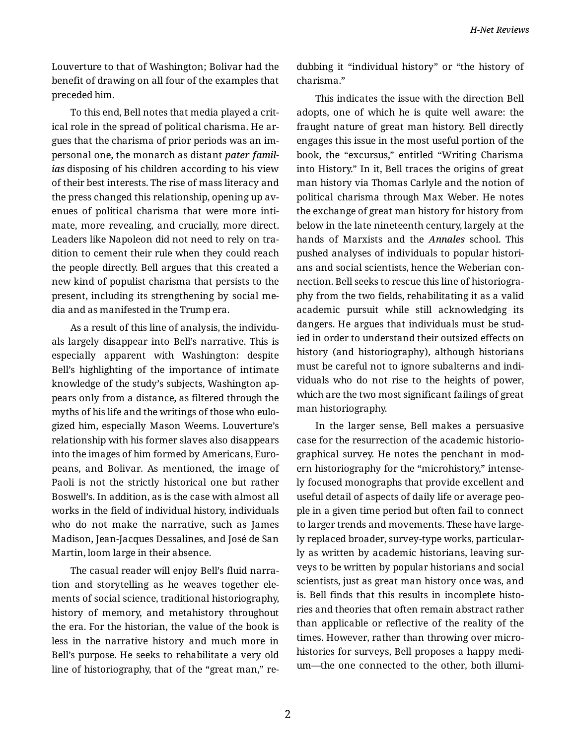Louverture to that of Washington; Bolivar had the benefit of drawing on all four of the examples that preceded him.

To this end, Bell notes that media played a crit‐ ical role in the spread of political charisma. He ar‐ gues that the charisma of prior periods was an im‐ personal one, the monarch as distant *pater famil‐ ias* disposing of his children according to his view of their best interests. The rise of mass literacy and the press changed this relationship, opening up av‐ enues of political charisma that were more inti‐ mate, more revealing, and crucially, more direct. Leaders like Napoleon did not need to rely on tra‐ dition to cement their rule when they could reach the people directly. Bell argues that this created a new kind of populist charisma that persists to the present, including its strengthening by social me‐ dia and as manifested in the Trump era.

As a result of this line of analysis, the individu‐ als largely disappear into Bell's narrative. This is especially apparent with Washington: despite Bell's highlighting of the importance of intimate knowledge of the study's subjects, Washington ap‐ pears only from a distance, as filtered through the myths of his life and the writings of those who eulo‐ gized him, especially Mason Weems. Louverture's relationship with his former slaves also disappears into the images of him formed by Americans, Euro‐ peans, and Bolivar. As mentioned, the image of Paoli is not the strictly historical one but rather Boswell's. In addition, as is the case with almost all works in the field of individual history, individuals who do not make the narrative, such as James Madison, Jean-Jacques Dessalines, and José de San Martin, loom large in their absence.

The casual reader will enjoy Bell's fluid narra‐ tion and storytelling as he weaves together ele‐ ments of social science, traditional historiography, history of memory, and metahistory throughout the era. For the historian, the value of the book is less in the narrative history and much more in Bell's purpose. He seeks to rehabilitate a very old line of historiography, that of the "great man," re‐ dubbing it "individual history" or "the history of charisma."

This indicates the issue with the direction Bell adopts, one of which he is quite well aware: the fraught nature of great man history. Bell directly engages this issue in the most useful portion of the book, the "excursus," entitled "Writing Charisma into History." In it, Bell traces the origins of great man history via Thomas Carlyle and the notion of political charisma through Max Weber. He notes the exchange of great man history for history from below in the late nineteenth century, largely at the hands of Marxists and the *Annales* school. This pushed analyses of individuals to popular histori‐ ans and social scientists, hence the Weberian con‐ nection. Bell seeks to rescue this line of historiogra‐ phy from the two fields, rehabilitating it as a valid academic pursuit while still acknowledging its dangers. He argues that individuals must be stud‐ ied in order to understand their outsized effects on history (and historiography), although historians must be careful not to ignore subalterns and indi‐ viduals who do not rise to the heights of power, which are the two most significant failings of great man historiography.

In the larger sense, Bell makes a persuasive case for the resurrection of the academic historio‐ graphical survey. He notes the penchant in mod‐ ern historiography for the "microhistory," intense‐ ly focused monographs that provide excellent and useful detail of aspects of daily life or average peo‐ ple in a given time period but often fail to connect to larger trends and movements. These have large‐ ly replaced broader, survey-type works, particular‐ ly as written by academic historians, leaving sur‐ veys to be written by popular historians and social scientists, just as great man history once was, and is. Bell finds that this results in incomplete histories and theories that often remain abstract rather than applicable or reflective of the reality of the times. However, rather than throwing over micro‐ histories for surveys, Bell proposes a happy medi‐ um—the one connected to the other, both illumi‐